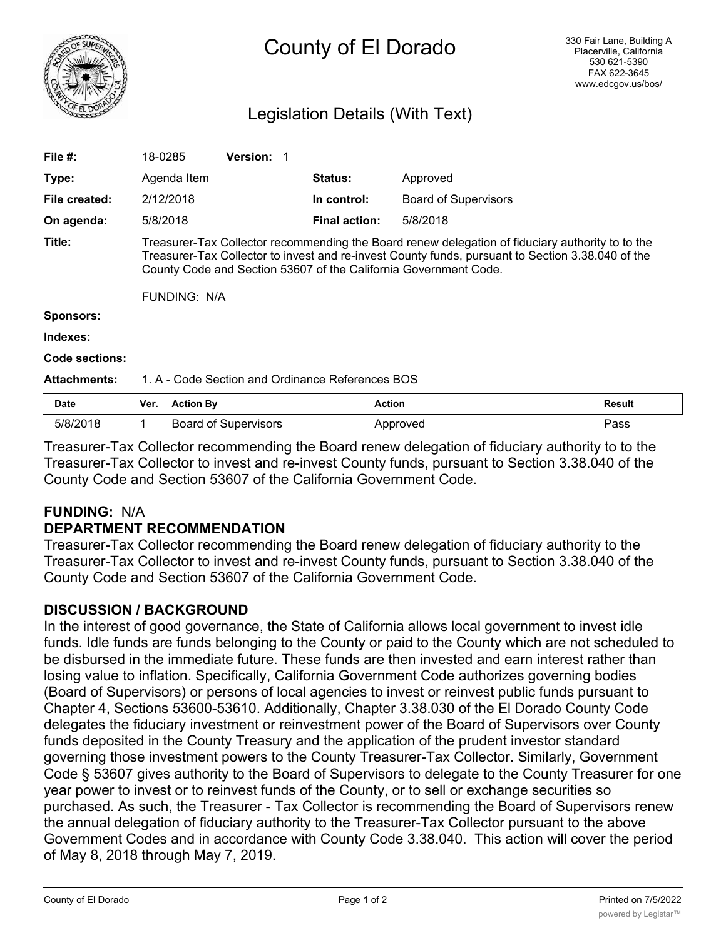

# County of El Dorado

### Legislation Details (With Text)

| File $#$ :          | 18-0285                                                                                                                                                                                                                                                                                   |                  | <b>Version: 1</b>           |  |                      |                             |        |
|---------------------|-------------------------------------------------------------------------------------------------------------------------------------------------------------------------------------------------------------------------------------------------------------------------------------------|------------------|-----------------------------|--|----------------------|-----------------------------|--------|
| Type:               |                                                                                                                                                                                                                                                                                           | Agenda Item      |                             |  | <b>Status:</b>       | Approved                    |        |
| File created:       |                                                                                                                                                                                                                                                                                           | 2/12/2018        |                             |  | In control:          | <b>Board of Supervisors</b> |        |
| On agenda:          | 5/8/2018                                                                                                                                                                                                                                                                                  |                  |                             |  | <b>Final action:</b> | 5/8/2018                    |        |
| Title:              | Treasurer-Tax Collector recommending the Board renew delegation of fiduciary authority to to the<br>Treasurer-Tax Collector to invest and re-invest County funds, pursuant to Section 3.38.040 of the<br>County Code and Section 53607 of the California Government Code.<br>FUNDING: N/A |                  |                             |  |                      |                             |        |
| <b>Sponsors:</b>    |                                                                                                                                                                                                                                                                                           |                  |                             |  |                      |                             |        |
| Indexes:            |                                                                                                                                                                                                                                                                                           |                  |                             |  |                      |                             |        |
| Code sections:      |                                                                                                                                                                                                                                                                                           |                  |                             |  |                      |                             |        |
| <b>Attachments:</b> | 1. A - Code Section and Ordinance References BOS                                                                                                                                                                                                                                          |                  |                             |  |                      |                             |        |
| <b>Date</b>         | Ver.                                                                                                                                                                                                                                                                                      | <b>Action By</b> |                             |  | <b>Action</b>        |                             | Result |
| 5/8/2018            | 1                                                                                                                                                                                                                                                                                         |                  | <b>Board of Supervisors</b> |  |                      | Approved                    | Pass   |

Treasurer-Tax Collector recommending the Board renew delegation of fiduciary authority to to the Treasurer-Tax Collector to invest and re-invest County funds, pursuant to Section 3.38.040 of the County Code and Section 53607 of the California Government Code.

### **FUNDING:** N/A

### **DEPARTMENT RECOMMENDATION**

Treasurer-Tax Collector recommending the Board renew delegation of fiduciary authority to the Treasurer-Tax Collector to invest and re-invest County funds, pursuant to Section 3.38.040 of the County Code and Section 53607 of the California Government Code.

### **DISCUSSION / BACKGROUND**

In the interest of good governance, the State of California allows local government to invest idle funds. Idle funds are funds belonging to the County or paid to the County which are not scheduled to be disbursed in the immediate future. These funds are then invested and earn interest rather than losing value to inflation. Specifically, California Government Code authorizes governing bodies (Board of Supervisors) or persons of local agencies to invest or reinvest public funds pursuant to Chapter 4, Sections 53600-53610. Additionally, Chapter 3.38.030 of the El Dorado County Code delegates the fiduciary investment or reinvestment power of the Board of Supervisors over County funds deposited in the County Treasury and the application of the prudent investor standard governing those investment powers to the County Treasurer-Tax Collector. Similarly, Government Code § 53607 gives authority to the Board of Supervisors to delegate to the County Treasurer for one year power to invest or to reinvest funds of the County, or to sell or exchange securities so purchased. As such, the Treasurer - Tax Collector is recommending the Board of Supervisors renew the annual delegation of fiduciary authority to the Treasurer-Tax Collector pursuant to the above Government Codes and in accordance with County Code 3.38.040. This action will cover the period of May 8, 2018 through May 7, 2019.